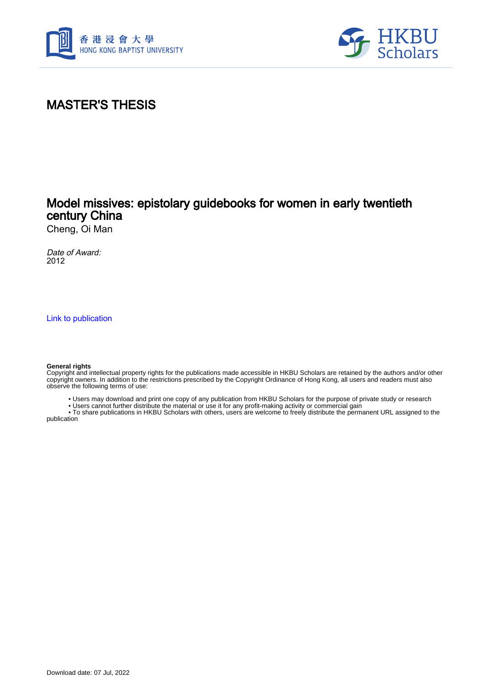



# MASTER'S THESIS

## Model missives: epistolary guidebooks for women in early twentieth century China

Cheng, Oi Man

Date of Award: 2012

[Link to publication](https://scholars.hkbu.edu.hk/en/studentTheses/f92f8182-11d4-4b70-b2d3-267efe745f7a)

#### **General rights**

Copyright and intellectual property rights for the publications made accessible in HKBU Scholars are retained by the authors and/or other copyright owners. In addition to the restrictions prescribed by the Copyright Ordinance of Hong Kong, all users and readers must also observe the following terms of use:

- Users may download and print one copy of any publication from HKBU Scholars for the purpose of private study or research
- Users cannot further distribute the material or use it for any profit-making activity or commercial gain

 • To share publications in HKBU Scholars with others, users are welcome to freely distribute the permanent URL assigned to the publication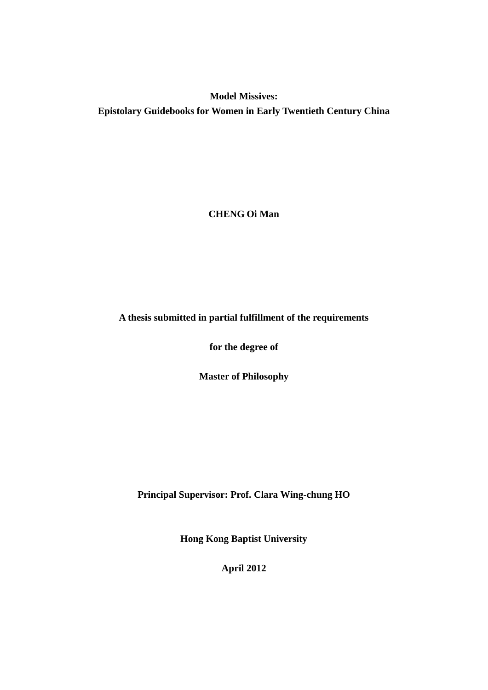# **Model Missives: Epistolary Guidebooks for Women in Early Twentieth Century China**

**CHENG Oi Man**

#### **A thesis submitted in partial fulfillment of the requirements**

**for the degree of**

**Master of Philosophy**

**Principal Supervisor: Prof. Clara Wing-chung HO**

**Hong Kong Baptist University**

**April 2012**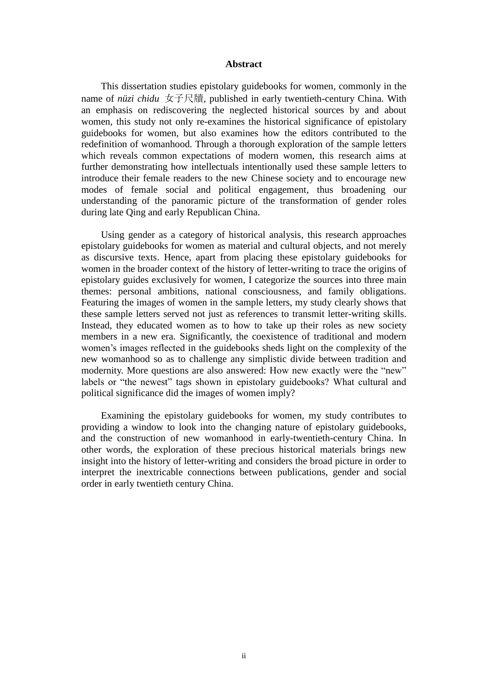#### **Abstract**

This dissertation studies epistolary guidebooks for women, commonly in the name of *nüzi chidu* 女子尺牘, published in early twentieth-century China. With an emphasis on rediscovering the neglected historical sources by and about women, this study not only re-examines the historical significance of epistolary guidebooks for women, but also examines how the editors contributed to the redefinition of womanhood. Through a thorough exploration of the sample letters which reveals common expectations of modern women, this research aims at further demonstrating how intellectuals intentionally used these sample letters to introduce their female readers to the new Chinese society and to encourage new modes of female social and political engagement, thus broadening our understanding of the panoramic picture of the transformation of gender roles during late Qing and early Republican China.

Using gender as a category of historical analysis, this research approaches epistolary guidebooks for women as material and cultural objects, and not merely as discursive texts. Hence, apart from placing these epistolary guidebooks for women in the broader context of the history of letter-writing to trace the origins of epistolary guides exclusively for women, I categorize the sources into three main themes: personal ambitions, national consciousness, and family obligations. Featuring the images of women in the sample letters, my study clearly shows that these sample letters served not just as references to transmit letter-writing skills. Instead, they educated women as to how to take up their roles as new society members in a new era. Significantly, the coexistence of traditional and modern women's images reflected in the guidebooks sheds light on the complexity of the new womanhood so as to challenge any simplistic divide between tradition and modernity. More questions are also answered: How new exactly were the "new" labels or "the newest" tags shown in epistolary guidebooks? What cultural and political significance did the images of women imply?

Examining the epistolary guidebooks for women, my study contributes to providing a window to look into the changing nature of epistolary guidebooks, and the construction of new womanhood in early-twentieth-century China. In other words, the exploration of these precious historical materials brings new insight into the history of letter-writing and considers the broad picture in order to interpret the inextricable connections between publications, gender and social order in early twentieth century China.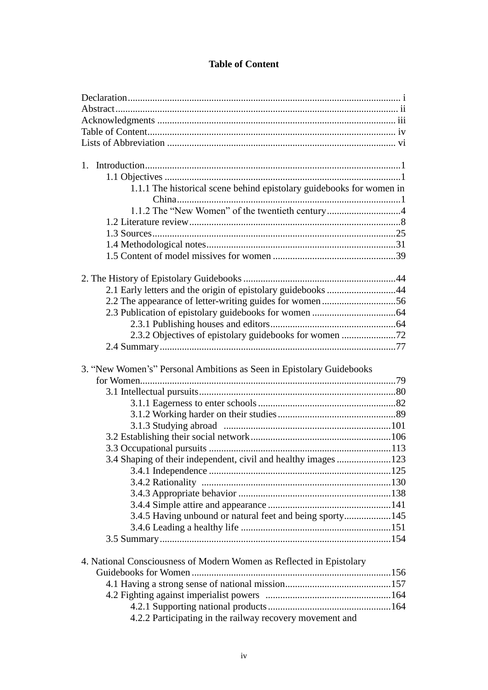### **Table of Content**

| 1.1.1 The historical scene behind epistolary guidebooks for women in |  |
|----------------------------------------------------------------------|--|
|                                                                      |  |
| 1.1.2 The "New Women" of the twentieth century4                      |  |
|                                                                      |  |
|                                                                      |  |
|                                                                      |  |
|                                                                      |  |
|                                                                      |  |
|                                                                      |  |
| 2.1 Early letters and the origin of epistolary guidebooks 44         |  |
|                                                                      |  |
|                                                                      |  |
|                                                                      |  |
|                                                                      |  |
|                                                                      |  |
|                                                                      |  |
|                                                                      |  |
|                                                                      |  |
| 3. "New Women's" Personal Ambitions as Seen in Epistolary Guidebooks |  |
|                                                                      |  |
|                                                                      |  |
|                                                                      |  |
|                                                                      |  |
|                                                                      |  |
|                                                                      |  |
|                                                                      |  |
| 3.4 Shaping of their independent, civil and healthy images 123       |  |
|                                                                      |  |
|                                                                      |  |
|                                                                      |  |
|                                                                      |  |
| 3.4.5 Having unbound or natural feet and being sporty145             |  |
|                                                                      |  |
|                                                                      |  |
|                                                                      |  |
| 4. National Consciousness of Modern Women as Reflected in Epistolary |  |
|                                                                      |  |
|                                                                      |  |
|                                                                      |  |
| 4.2.2 Participating in the railway recovery movement and             |  |